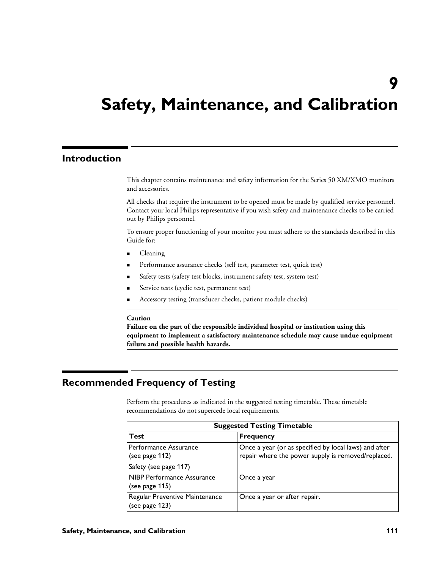# **9**

# **Safety, Maintenance, and Calibration**

# **Introduction**

This chapter contains maintenance and safety information for the Series 50 XM/XMO monitors and accessories.

All checks that require the instrument to be opened must be made by qualified service personnel. Contact your local Philips representative if you wish safety and maintenance checks to be carried out by Philips personnel.

To ensure proper functioning of your monitor you must adhere to the standards described in this Guide for:

- Cleaning
- **Performance assurance checks (self test, parameter test, quick test)**
- " Safety tests (safety test blocks, instrument safety test, system test)
- Service tests (cyclic test, permanent test)
- Accessory testing (transducer checks, patient module checks)

#### **Caution**

**Failure on the part of the responsible individual hospital or institution using this equipment to implement a satisfactory maintenance schedule may cause undue equipment failure and possible health hazards.**

# **Recommended Frequency of Testing**

Perform the procedures as indicated in the suggested testing timetable. These timetable recommendations do not supercede local requirements.

| <b>Suggested Testing Timetable</b>               |                                                                                                             |  |
|--------------------------------------------------|-------------------------------------------------------------------------------------------------------------|--|
| Test                                             | <b>Frequency</b>                                                                                            |  |
| Performance Assurance<br>(see page 112)          | Once a year (or as specified by local laws) and after<br>repair where the power supply is removed/replaced. |  |
| Safety (see page 117)                            |                                                                                                             |  |
| NIBP Performance Assurance<br>(see page 115)     | Once a year                                                                                                 |  |
| Regular Preventive Maintenance<br>(see page 123) | Once a year or after repair.                                                                                |  |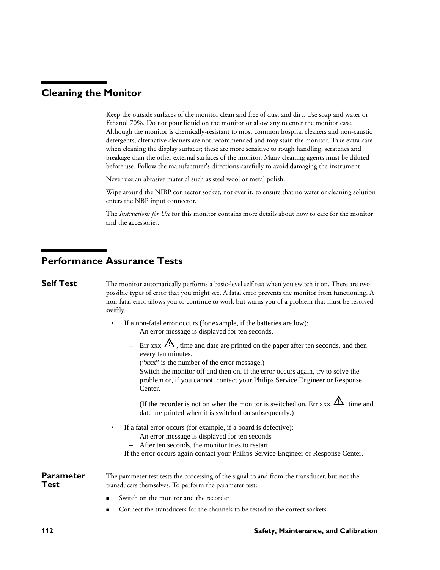# **Cleaning the Monitor**

Keep the outside surfaces of the monitor clean and free of dust and dirt. Use soap and water or Ethanol 70%. Do not pour liquid on the monitor or allow any to enter the monitor case. Although the monitor is chemically-resistant to most common hospital cleaners and non-caustic detergents, alternative cleaners are not recommended and may stain the monitor. Take extra care when cleaning the display surfaces; these are more sensitive to rough handling, scratches and breakage than the other external surfaces of the monitor. Many cleaning agents must be diluted before use. Follow the manufacturer's directions carefully to avoid damaging the instrument.

Never use an abrasive material such as steel wool or metal polish.

Wipe around the NIBP connector socket, not over it, to ensure that no water or cleaning solution enters the NBP input connector.

The *Instructions for Use* for this monitor contains more details about how to care for the monitor and the accessories.

# **Performance Assurance Tests**

**Self Test** The monitor automatically performs a basic-level self test when you switch it on. There are two possible types of error that you might see. A fatal error prevents the monitor from functioning. A non-fatal error allows you to continue to work but warns you of a problem that must be resolved swiftly.

- If a non-fatal error occurs (for example, if the batteries are low):
	- An error message is displayed for ten seconds.
	- Err xxx  $\mathbf{\Omega}$ , time and date are printed on the paper after ten seconds, and then every ten minutes.
		- ("xxx" is the number of the error message.)
	- Switch the monitor off and then on. If the error occurs again, try to solve the problem or, if you cannot, contact your Philips Service Engineer or Response Center.

(If the recorder is not on when the monitor is switched on, Err xxx  $\mathcal{L}\mathbf{\hat{N}}$  time and date are printed when it is switched on subsequently.)

- If a fatal error occurs (for example, if a board is defective):
	- An error message is displayed for ten seconds
	- After ten seconds, the monitor tries to restart.

If the error occurs again contact your Philips Service Engineer or Response Center.

**Parameter Test** The parameter test tests the processing of the signal to and from the transducer, but not the transducers themselves. To perform the parameter test:

- Switch on the monitor and the recorder
- Connect the transducers for the channels to be tested to the correct sockets.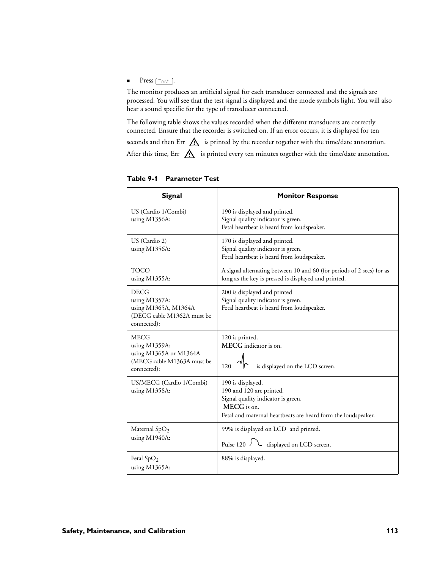### $\blacksquare$  Press  $\lceil \text{Test} \rceil$ .

The monitor produces an artificial signal for each transducer connected and the signals are processed. You will see that the test signal is displayed and the mode symbols light. You will also hear a sound specific for the type of transducer connected.

The following table shows the values recorded when the different transducers are correctly connected. Ensure that the recorder is switched on. If an error occurs, it is displayed for ten seconds and then Err  $\bigwedge$  is printed by the recorder together with the time/date annotation. After this time, Err  $\bigwedge$  is printed every ten minutes together with the time/date annotation.

| <b>Signal</b>                                                                                     | <b>Monitor Response</b>                                                                                                                                             |
|---------------------------------------------------------------------------------------------------|---------------------------------------------------------------------------------------------------------------------------------------------------------------------|
| US (Cardio 1/Combi)<br>using M1356A:                                                              | 190 is displayed and printed.<br>Signal quality indicator is green.<br>Fetal heartbeat is heard from loudspeaker.                                                   |
| US (Cardio 2)<br>using M1356A:                                                                    | 170 is displayed and printed.<br>Signal quality indicator is green.<br>Fetal heartbeat is heard from loudspeaker.                                                   |
| <b>TOCO</b><br>using M1355A:                                                                      | A signal alternating between 10 and 60 (for periods of 2 secs) for as<br>long as the key is pressed is displayed and printed.                                       |
| <b>DECG</b><br>using M1357A:<br>using M1365A, M1364A<br>(DECG cable M1362A must be<br>connected): | 200 is displayed and printed<br>Signal quality indicator is green.<br>Fetal heartbeat is heard from loudspeaker.                                                    |
| MECG<br>using M1359A:<br>using M1365A or M1364A<br>(MECG cable M1363A must be<br>connected):      | 120 is printed.<br>MECG indicator is on.<br>is displayed on the LCD screen.<br>120                                                                                  |
| US/MECG (Cardio 1/Combi)<br>using M1358A:                                                         | 190 is displayed.<br>190 and 120 are printed.<br>Signal quality indicator is green.<br>MECG is on.<br>Fetal and maternal heartbeats are heard form the loudspeaker. |
| Maternal SpO <sub>2</sub><br>using M1940A:                                                        | 99% is displayed on LCD and printed.<br>Pulse 120 $\sqrt{ }$ displayed on LCD screen.                                                                               |
| Fetal $SpO2$<br>using M1365A:                                                                     | 88% is displayed.                                                                                                                                                   |

**Table 9-1 Parameter Test**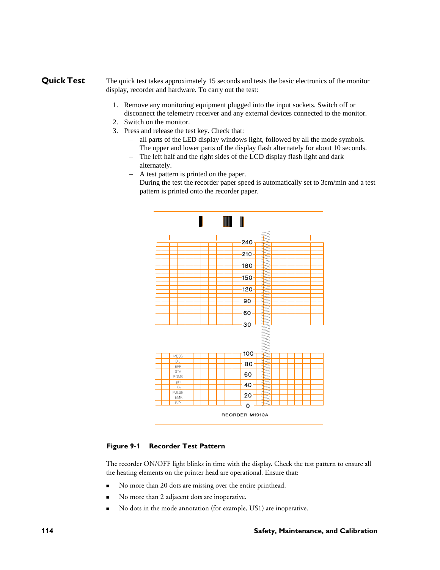# **Quick Test** The quick test takes approximately 15 seconds and tests the basic electronics of the monitor display, recorder and hardware. To carry out the test:

- 1. Remove any monitoring equipment plugged into the input sockets. Switch off or disconnect the telemetry receiver and any external devices connected to the monitor.
- 2. Switch on the monitor.
- 3. Press and release the test key. Check that:
	- all parts of the LED display windows light, followed by all the mode symbols. The upper and lower parts of the display flash alternately for about 10 seconds.
	- The left half and the right sides of the LCD display flash light and dark alternately.
	- A test pattern is printed on the paper. During the test the recorder paper speed is automatically set to 3cm/min and a test pattern is printed onto the recorder paper.



#### **Figure 9-1 Recorder Test Pattern**

The recorder ON/OFF light blinks in time with the display. Check the test pattern to ensure all the heating elements on the printer head are operational. Ensure that:

- No more than 20 dots are missing over the entire printhead.
- No more than 2 adjacent dots are inoperative.
- No dots in the mode annotation (for example, US1) are inoperative.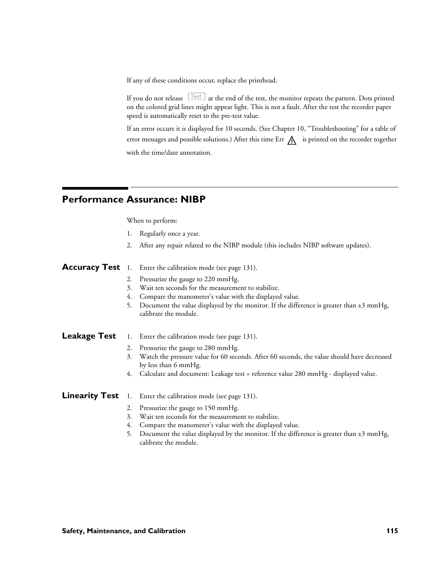If any of these conditions occur, replace the printhead.

If you do not release  $\left[\frac{\text{Test}}{\text{est}}\right]$  at the end of the test, the monitor repeats the pattern. Dots printed on the colored grid lines might appear light. This is not a fault. After the test the recorder paper speed is automatically reset to the pre-test value.

If an error occurs it is displayed for 10 seconds. (See Chapter 10, "Troubleshooting" for a table of error messages and possible solutions.) After this time Err  $\bigwedge$  is printed on the recorder together with the time/date annotation.

# **Performance Assurance: NIBP**

When to perform:

- 1. Regularly once a year.
- 2. After any repair related to the NIBP module (this includes NIBP software updates).

**Accuracy Test** 1. Enter the calibration mode (see page 131).

- 2. Pressurize the gauge to 220 mmHg.
- 3. Wait ten seconds for the measurement to stabilize.
- 4. Compare the manometer's value with the displayed value.
- 5. Document the value displayed by the monitor. If the difference is greater than ±3 mmHg, calibrate the module.
- Leakage Test 1. Enter the calibration mode (see page 131).
	- 2. Pressurize the gauge to 280 mmHg.
	- 3. Watch the pressure value for 60 seconds. After 60 seconds, the value should have decreased by less than 6 mmHg.
	- 4. Calculate and document: Leakage test = reference value 280 mmHg displayed value.
- **Linearity Test** 1. Enter the calibration mode (see page 131).
	- 2. Pressurize the gauge to 150 mmHg.
	- 3. Wait ten seconds for the measurement to stabilize.
	- 4. Compare the manometer's value with the displayed value.
	- 5. Document the value displayed by the monitor. If the difference is greater than  $\pm 3$  mmHg, calibrate the module.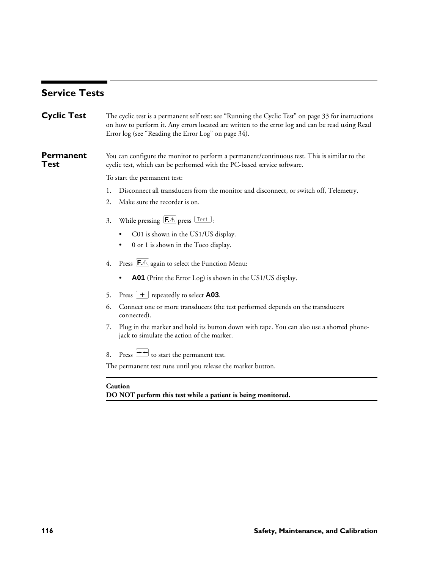# **Service Tests**

| <b>Cyclic Test</b>       | The cyclic test is a permanent self test: see "Running the Cyclic Test" on page 33 for instructions<br>on how to perform it. Any errors located are written to the error log and can be read using Read<br>Error log (see "Reading the Error Log" on page 34). |
|--------------------------|----------------------------------------------------------------------------------------------------------------------------------------------------------------------------------------------------------------------------------------------------------------|
| <b>Permanent</b><br>Test | You can configure the monitor to perform a permanent/continuous test. This is similar to the<br>cyclic test, which can be performed with the PC-based service software.                                                                                        |
|                          | To start the permanent test:                                                                                                                                                                                                                                   |
|                          | Disconnect all transducers from the monitor and disconnect, or switch off, Telemetry.<br>1.                                                                                                                                                                    |
|                          | Make sure the recorder is on.<br>2.                                                                                                                                                                                                                            |
|                          | While pressing $\left[\overline{F \mathbb{A}}\right]$ press $\left[\overline{\phantom{F}}\right]$ :<br>3.                                                                                                                                                      |
|                          | C01 is shown in the US1/US display.<br>٠                                                                                                                                                                                                                       |
|                          | 0 or 1 is shown in the Toco display.                                                                                                                                                                                                                           |
|                          | Press <b>F.</b> <sup><math>\triangle</math></sup> again to select the Function Menu:<br>4.                                                                                                                                                                     |
|                          | A01 (Print the Error Log) is shown in the US1/US display.                                                                                                                                                                                                      |
|                          | Press $\boxed{\text{+}}$ repeatedly to select <b>A03</b> .<br>5.                                                                                                                                                                                               |
|                          | Connect one or more transducers (the test performed depends on the transducers<br>6.<br>connected).                                                                                                                                                            |
|                          | Plug in the marker and hold its button down with tape. You can also use a shorted phone-<br>7.<br>jack to simulate the action of the marker.                                                                                                                   |
|                          | Press $\rightarrow$ to start the permanent test.<br>8.                                                                                                                                                                                                         |
|                          | The permanent test runs until you release the marker button.                                                                                                                                                                                                   |
|                          | Caution<br>DO NOT perform this test while a patient is being monitored.                                                                                                                                                                                        |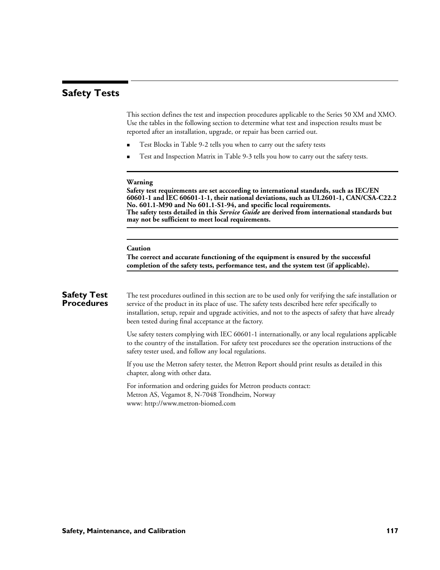# **Safety Tests**

This section defines the test and inspection procedures applicable to the Series 50 XM and XMO. Use the tables in the following section to determine what test and inspection results must be reported after an installation, upgrade, or repair has been carried out.

- Test Blocks in Table 9-2 tells you when to carry out the safety tests
- Test and Inspection Matrix in Table 9-3 tells you how to carry out the safety tests.

#### **Warning**

**Safety test requirements are set acccording to international standards, such as IEC/EN 60601-1 and IEC 60601-1-1, their national deviations, such as UL2601-1, CAN/CSA-C22.2 No. 601.1-M90 and No 601.1-S1-94, and specific local requirements. The safety tests detailed in this** *Service Guide* **are derived from international standards but may not be sufficient to meet local requirements.**

#### **Caution**

**The correct and accurate functioning of the equipment is ensured by the successful completion of the safety tests, performance test, and the system test (if applicable).**

### **Safety Test Procedures**

The test procedures outlined in this section are to be used only for verifying the safe installation or service of the product in its place of use. The safety tests described here refer specifically to installation, setup, repair and upgrade activities, and not to the aspects of safety that have already been tested during final acceptance at the factory.

Use safety testers complying with IEC 60601-1 internationally, or any local regulations applicable to the country of the installation. For safety test procedures see the operation instructions of the safety tester used, and follow any local regulations.

If you use the Metron safety tester, the Metron Report should print results as detailed in this chapter, along with other data.

For information and ordering guides for Metron products contact: Metron AS, Vegamot 8, N-7048 Trondheim, Norway www: http://www.metron-biomed.com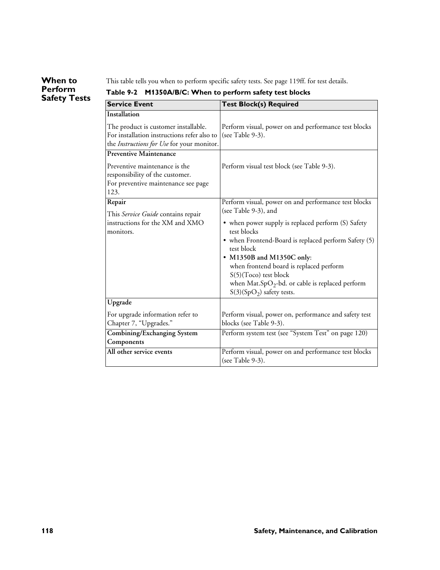# **When to Perform Safety Tests**

This table tells you when to perform specific safety tests. See page 119ff. for test details.

| <b>Service Event</b>                                                                                                              | <b>Test Block(s) Required</b>                                                                                                                                                                                                                                                                                                                      |
|-----------------------------------------------------------------------------------------------------------------------------------|----------------------------------------------------------------------------------------------------------------------------------------------------------------------------------------------------------------------------------------------------------------------------------------------------------------------------------------------------|
| Installation                                                                                                                      |                                                                                                                                                                                                                                                                                                                                                    |
| The product is customer installable.<br>For installation instructions refer also to<br>the Instructions for Use for your monitor. | Perform visual, power on and performance test blocks<br>(see Table 9-3).                                                                                                                                                                                                                                                                           |
| <b>Preventive Maintenance</b>                                                                                                     |                                                                                                                                                                                                                                                                                                                                                    |
| Preventive maintenance is the<br>responsibility of the customer.<br>For preventive maintenance see page<br>123.                   | Perform visual test block (see Table 9-3).                                                                                                                                                                                                                                                                                                         |
| Repair                                                                                                                            | Perform visual, power on and performance test blocks                                                                                                                                                                                                                                                                                               |
| This Service Guide contains repair<br>instructions for the XM and XMO<br>monitors.                                                | (see Table 9-3), and<br>• when power supply is replaced perform (S) Safety<br>test blocks<br>• when Frontend-Board is replaced perform Safety (5)<br>test block<br>• M1350B and M1350C only:<br>when frontend board is replaced perform<br>S(5)(Toco) test block<br>when $Mat(SpO2-bd.$ or cable is replaced perform<br>$S(3)(SpO2)$ safety tests. |
| Upgrade                                                                                                                           |                                                                                                                                                                                                                                                                                                                                                    |
| For upgrade information refer to<br>Chapter 7, "Upgrades."                                                                        | Perform visual, power on, performance and safety test<br>blocks (see Table 9-3).                                                                                                                                                                                                                                                                   |
| Combining/Exchanging System<br>Components                                                                                         | Perform system test (see "System Test" on page 120)                                                                                                                                                                                                                                                                                                |
| All other service events                                                                                                          | Perform visual, power on and performance test blocks<br>(see Table 9-3).                                                                                                                                                                                                                                                                           |

# **Table 9-2 M1350A/B/C: When to perform safety test blocks**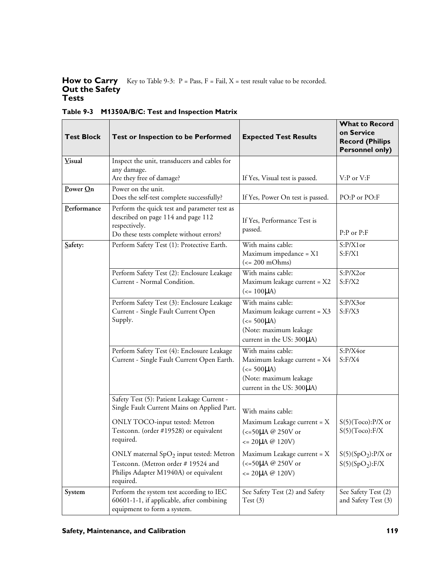#### **How to Carry Out the Safety Tests** Key to Table 9-3:  $P = Pass, F = Fail, X = test result value to be recorded.$

| <b>Test Block</b><br><b>Test or Inspection to be Performed</b>                                                                                                                                                                                                                 |                                                                                                                                                | <b>Expected Test Results</b>                                                                                                                | <b>What to Record</b><br>on Service<br><b>Record (Philips</b><br><b>Personnel only)</b> |  |
|--------------------------------------------------------------------------------------------------------------------------------------------------------------------------------------------------------------------------------------------------------------------------------|------------------------------------------------------------------------------------------------------------------------------------------------|---------------------------------------------------------------------------------------------------------------------------------------------|-----------------------------------------------------------------------------------------|--|
| <b>Visual</b>                                                                                                                                                                                                                                                                  | Inspect the unit, transducers and cables for<br>any damage.<br>Are they free of damage?                                                        | If Yes, Visual test is passed.                                                                                                              | $V: P$ or $V: F$                                                                        |  |
| Power On                                                                                                                                                                                                                                                                       | Power on the unit.<br>Does the self-test complete successfully?                                                                                | If Yes, Power On test is passed.                                                                                                            | PO:P or PO:F                                                                            |  |
| Performance                                                                                                                                                                                                                                                                    | Perform the quick test and parameter test as<br>described on page 114 and page 112<br>respectively.<br>Do these tests complete without errors? | If Yes, Performance Test is<br>passed.                                                                                                      | P:P or P:F                                                                              |  |
| Safety:                                                                                                                                                                                                                                                                        | Perform Safety Test (1): Protective Earth.                                                                                                     | With mains cable:<br>Maximum impedance = X1<br>$\left(\rightleftharpoons 200 \text{ mOhms}\right)$                                          | S:P/X1or<br>S: F/X1                                                                     |  |
|                                                                                                                                                                                                                                                                                | Perform Safety Test (2): Enclosure Leakage<br>Current - Normal Condition.                                                                      | With mains cable:<br>Maximum leakage current = X2<br>$(<= 100 \mu A)$                                                                       | $S: P/X2$ or<br>S: F/X2                                                                 |  |
|                                                                                                                                                                                                                                                                                | Perform Safety Test (3): Enclosure Leakage<br>Current - Single Fault Current Open<br>Supply.                                                   | With mains cable:<br>Maximum leakage current = X3<br>$\left( \leq 500 \mu A \right)$<br>(Note: maximum leakage<br>current in the US: 300µA) | $S: P/X3$ or<br>S: F/X3                                                                 |  |
| Perform Safety Test (4): Enclosure Leakage<br>Current - Single Fault Current Open Earth.<br>Safety Test (5): Patient Leakage Current -<br>Single Fault Current Mains on Applied Part.<br>ONLY TOCO-input tested: Metron<br>Testconn. (order #19528) or equivalent<br>required. | With mains cable:<br>Maximum leakage current = X4<br>$\left( \leq 500 \mu A \right)$<br>(Note: maximum leakage<br>current in the US: 300µA)    | $S: P/X4$ or<br>S: F/X4                                                                                                                     |                                                                                         |  |
|                                                                                                                                                                                                                                                                                |                                                                                                                                                | With mains cable:                                                                                                                           |                                                                                         |  |
|                                                                                                                                                                                                                                                                                |                                                                                                                                                | Maximum Leakage current = X<br>(<=50µA @ 250V or<br>$\leq$ 20µA @ 120V)                                                                     | $S(5)(Toco):P/X$ or<br>S(5)(Toco):F/X                                                   |  |
|                                                                                                                                                                                                                                                                                | ONLY maternal $SpO2$ input tested: Metron<br>Testconn. (Metron order #19524 and<br>Philips Adapter M1940A) or equivalent<br>required.          | Maximum Leakage current = X<br>(<=50µA @ 250V or<br>$\leq$ 20µA @ 120V)                                                                     | $S(5)(SpO2):P/X$ or<br>S(5)(SpO <sub>2</sub> ):F/X                                      |  |
| System                                                                                                                                                                                                                                                                         | Perform the system test according to IEC<br>60601-1-1, if applicable, after combining<br>equipment to form a system.                           | See Safety Test (2) and Safety<br>Test(3)                                                                                                   | See Safety Test (2)<br>and Safety Test (3)                                              |  |

**Table 9-3 M1350A/B/C: Test and Inspection Matrix**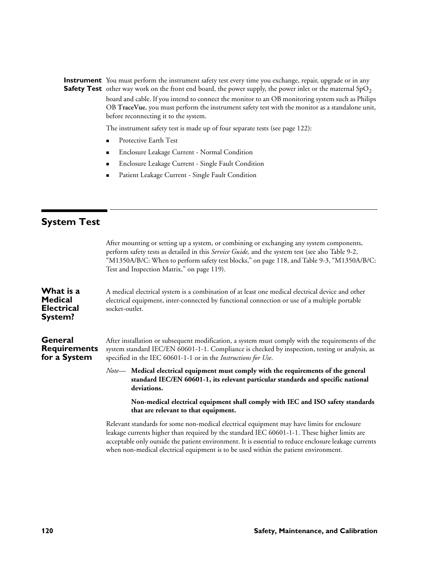**Instrument** You must perform the instrument safety test every time you exchange, repair, upgrade or in any **Safety Test** other way work on the front end board, the power supply, the power inlet or the maternal  $\text{SpO}_2$ board and cable. If you intend to connect the monitor to an OB monitoring system such as Philips OB **TraceVue**, you must perform the instrument safety test with the monitor as a standalone unit, before reconnecting it to the system.

The instrument safety test is made up of four separate tests (see page 122):

- Protective Earth Test
- **Enclosure Leakage Current Normal Condition**
- **Enclosure Leakage Current Single Fault Condition**
- **Reading Patient Leakage Current Single Fault Condition**

# **System Test**

|                                                             | After mounting or setting up a system, or combining or exchanging any system components,<br>perform safety tests as detailed in this Service Guide, and the system test (see also Table 9-2,<br>"M1350A/B/C: When to perform safety test blocks," on page 118, and Table 9-3, "M1350A/B/C:<br>Test and Inspection Matrix," on page 119).                                                   |
|-------------------------------------------------------------|--------------------------------------------------------------------------------------------------------------------------------------------------------------------------------------------------------------------------------------------------------------------------------------------------------------------------------------------------------------------------------------------|
| What is a<br><b>Medical</b><br><b>Electrical</b><br>System? | A medical electrical system is a combination of at least one medical electrical device and other<br>electrical equipment, inter-connected by functional connection or use of a multiple portable<br>socket-outlet.                                                                                                                                                                         |
| General<br><b>Requirements</b><br>for a System              | After installation or subsequent modification, a system must comply with the requirements of the<br>system standard IEC/EN 60601-1-1. Compliance is checked by inspection, testing or analysis, as<br>specified in the IEC 60601-1-1 or in the Instructions for Use.                                                                                                                       |
|                                                             | Note— Medical electrical equipment must comply with the requirements of the general<br>standard IEC/EN 60601-1, its relevant particular standards and specific national<br>deviations.                                                                                                                                                                                                     |
|                                                             | Non-medical electrical equipment shall comply with IEC and ISO safety standards<br>that are relevant to that equipment.                                                                                                                                                                                                                                                                    |
|                                                             | Relevant standards for some non-medical electrical equipment may have limits for enclosure<br>leakage currents higher than required by the standard IEC 60601-1-1. These higher limits are<br>acceptable only outside the patient environment. It is essential to reduce enclosure leakage currents<br>when non-medical electrical equipment is to be used within the patient environment. |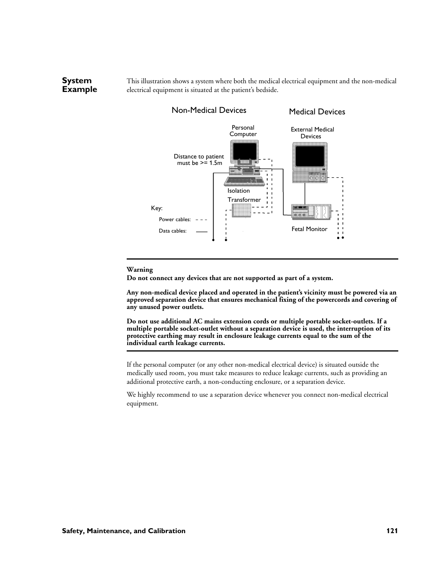This illustration shows a system where both the medical electrical equipment and the non-medical electrical equipment is situated at the patient's bedside.



#### **Warning**

**System Example**

**Do not connect any devices that are not supported as part of a system.**

**Any non-medical device placed and operated in the patient's vicinity must be powered via an approved separation device that ensures mechanical fixing of the powercords and covering of any unused power outlets.**

**Do not use additional AC mains extension cords or multiple portable socket-outlets. If a multiple portable socket-outlet without a separation device is used, the interruption of its protective earthing may result in enclosure leakage currents equal to the sum of the individual earth leakage currents.**

If the personal computer (or any other non-medical electrical device) is situated outside the medically used room, you must take measures to reduce leakage currents, such as providing an additional protective earth, a non-conducting enclosure, or a separation device.

We highly recommend to use a separation device whenever you connect non-medical electrical equipment.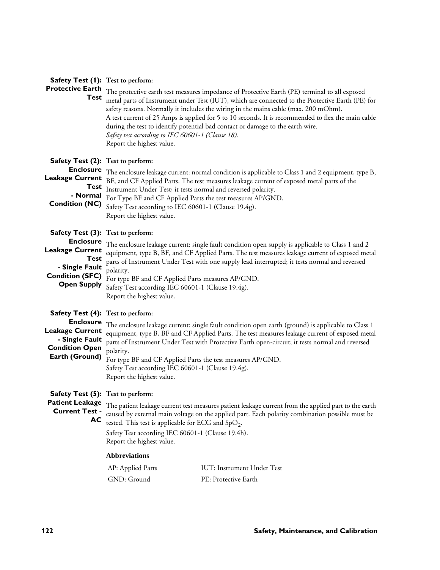| Safety Test (1): Test to perform:                                                              |                                                                                                                                                                                     |                                                                                                                                                                                                                                                                                                                                                                                                                                                                                  |  |
|------------------------------------------------------------------------------------------------|-------------------------------------------------------------------------------------------------------------------------------------------------------------------------------------|----------------------------------------------------------------------------------------------------------------------------------------------------------------------------------------------------------------------------------------------------------------------------------------------------------------------------------------------------------------------------------------------------------------------------------------------------------------------------------|--|
| <b>Protective Earth</b><br>Test                                                                | Safety test according to IEC 60601-1 (Clause 18).<br>Report the highest value.                                                                                                      | The protective earth test measures impedance of Protective Earth (PE) terminal to all exposed<br>metal parts of Instrument under Test (IUT), which are connected to the Protective Earth (PE) for<br>safety reasons. Normally it includes the wiring in the mains cable (max. 200 mOhm).<br>A test current of 25 Amps is applied for 5 to 10 seconds. It is recommended to flex the main cable<br>during the test to identify potential bad contact or damage to the earth wire. |  |
| Safety Test (2): Test to perform:                                                              |                                                                                                                                                                                     |                                                                                                                                                                                                                                                                                                                                                                                                                                                                                  |  |
| <b>Enclosure</b><br><b>Leakage Current</b><br><b>Test</b><br>- Normal<br><b>Condition (NC)</b> | Instrument Under Test; it tests normal and reversed polarity.<br>For Type BF and CF Applied Parts the test measures AP/GND.<br>Safety Test according to IEC 60601-1 (Clause 19.4g). | The enclosure leakage current: normal condition is applicable to Class 1 and 2 equipment, type B,<br>BF, and CF Applied Parts. The test measures leakage current of exposed metal parts of the                                                                                                                                                                                                                                                                                   |  |
|                                                                                                | Report the highest value.                                                                                                                                                           |                                                                                                                                                                                                                                                                                                                                                                                                                                                                                  |  |
| Safety Test (3): Test to perform:                                                              |                                                                                                                                                                                     |                                                                                                                                                                                                                                                                                                                                                                                                                                                                                  |  |
| <b>Enclosure</b><br><b>Leakage Current</b>                                                     |                                                                                                                                                                                     | The enclosure leakage current: single fault condition open supply is applicable to Class 1 and 2<br>equipment, type B, BF, and CF Applied Parts. The test measures leakage current of exposed metal                                                                                                                                                                                                                                                                              |  |
| <b>Test</b><br>- Single Fault                                                                  |                                                                                                                                                                                     | parts of Instrument Under Test with one supply lead interrupted; it tests normal and reversed                                                                                                                                                                                                                                                                                                                                                                                    |  |
| <b>Condition (SFC)</b>                                                                         | polarity.<br>For type BF and CF Applied Parts measures AP/GND.                                                                                                                      |                                                                                                                                                                                                                                                                                                                                                                                                                                                                                  |  |
| <b>Open Supply</b>                                                                             | Safety Test according IEC 60601-1 (Clause 19.4g).<br>Report the highest value.                                                                                                      |                                                                                                                                                                                                                                                                                                                                                                                                                                                                                  |  |
| Safety Test (4): Test to perform:                                                              |                                                                                                                                                                                     |                                                                                                                                                                                                                                                                                                                                                                                                                                                                                  |  |
| <b>Enclosure</b><br><b>Leakage Current</b><br>- Single Fault<br><b>Condition Open</b>          | polarity.                                                                                                                                                                           | The enclosure leakage current: single fault condition open earth (ground) is applicable to Class 1<br>equipment, type B, BF and CF Applied Parts. The test measures leakage current of exposed metal<br>parts of Instrument Under Test with Protective Earth open-circuit; it tests normal and reversed                                                                                                                                                                          |  |
| Earth (Ground)                                                                                 | For type BF and CF Applied Parts the test measures AP/GND.<br>Safety Test according IEC 60601-1 (Clause 19.4g).                                                                     |                                                                                                                                                                                                                                                                                                                                                                                                                                                                                  |  |
|                                                                                                | Report the highest value.                                                                                                                                                           |                                                                                                                                                                                                                                                                                                                                                                                                                                                                                  |  |
| Safety Test (5): Test to perform:                                                              |                                                                                                                                                                                     |                                                                                                                                                                                                                                                                                                                                                                                                                                                                                  |  |
| <b>Patient Leakage</b><br><b>Current Test -</b><br>AС                                          | tested. This test is applicable for ECG and $SpO2$ .                                                                                                                                | The patient leakage current test measures patient leakage current from the applied part to the earth<br>caused by external main voltage on the applied part. Each polarity combination possible must be                                                                                                                                                                                                                                                                          |  |
|                                                                                                | Safety Test according IEC 60601-1 (Clause 19.4h).<br>Report the highest value.                                                                                                      |                                                                                                                                                                                                                                                                                                                                                                                                                                                                                  |  |
|                                                                                                | <b>Abbreviations</b>                                                                                                                                                                |                                                                                                                                                                                                                                                                                                                                                                                                                                                                                  |  |
|                                                                                                | AP: Applied Parts                                                                                                                                                                   | <b>IUT: Instrument Under Test</b>                                                                                                                                                                                                                                                                                                                                                                                                                                                |  |
|                                                                                                | GND: Ground                                                                                                                                                                         | PE: Protective Earth                                                                                                                                                                                                                                                                                                                                                                                                                                                             |  |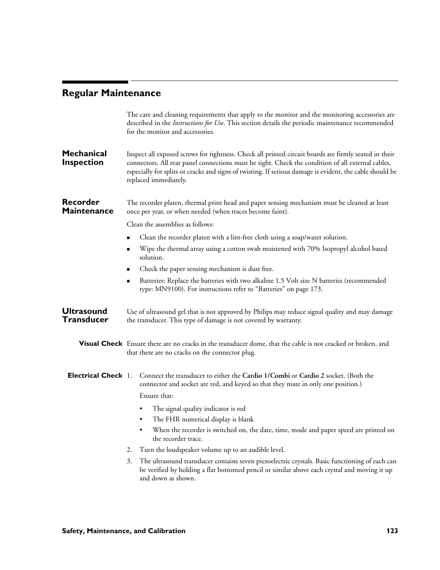# **Regular Maintenance**

ī.

|                                        | The care and cleaning requirements that apply to the monitor and the monitoring accessories are<br>described in the <i>Instructions for Use</i> . This section details the periodic maintenance recommended<br>for the monitor and accessories.                                                                                                 |  |  |  |  |
|----------------------------------------|-------------------------------------------------------------------------------------------------------------------------------------------------------------------------------------------------------------------------------------------------------------------------------------------------------------------------------------------------|--|--|--|--|
| <b>Mechanical</b><br>Inspection        | Inspect all exposed screws for tightness. Check all printed circuit boards are firmly seated in their<br>connectors. All rear panel connections must be tight. Check the condition of all external cables,<br>especially for splits or cracks and signs of twisting. If serious damage is evident, the cable should be<br>replaced immediately. |  |  |  |  |
| Recorder<br>Maintenance                | The recorder platen, thermal print head and paper sensing mechanism must be cleaned at least<br>once per year, or when needed (when traces become faint).                                                                                                                                                                                       |  |  |  |  |
|                                        | Clean the assemblies as follows:                                                                                                                                                                                                                                                                                                                |  |  |  |  |
|                                        | Clean the recorder platen with a lint-free cloth using a soap/water solution.                                                                                                                                                                                                                                                                   |  |  |  |  |
|                                        | Wipe the thermal array using a cotton swab moistened with 70% Isopropyl alcohol based<br>solution.                                                                                                                                                                                                                                              |  |  |  |  |
|                                        | Check the paper sensing mechanism is dust free.                                                                                                                                                                                                                                                                                                 |  |  |  |  |
|                                        | Batteries: Replace the batteries with two alkaline 1.5 Volt size N batteries (recommended<br>▪<br>type: MN9100). For instructions refer to "Batteries" on page 173.                                                                                                                                                                             |  |  |  |  |
| <b>Ultrasound</b><br><b>Transducer</b> | Use of ultrasound gel that is not approved by Philips may reduce signal quality and may damage<br>the transducer. This type of damage is not covered by warranty.                                                                                                                                                                               |  |  |  |  |
|                                        | Visual Check Ensure there are no cracks in the transducer dome, that the cable is not cracked or broken, and<br>that there are no cracks on the connector plug.                                                                                                                                                                                 |  |  |  |  |
| Electrical Check 1.                    | Connect the transducer to either the Cardio 1/Combi or Cardio 2 socket. (Both the<br>connector and socket are red, and keyed so that they mate in only one position.)<br>Ensure that:                                                                                                                                                           |  |  |  |  |
|                                        | The signal quality indicator is red<br>٠                                                                                                                                                                                                                                                                                                        |  |  |  |  |
|                                        | The FHR numerical display is blank<br>$\bullet$                                                                                                                                                                                                                                                                                                 |  |  |  |  |
|                                        | When the recorder is switched on, the date, time, mode and paper speed are printed on<br>$\bullet$<br>the recorder trace.                                                                                                                                                                                                                       |  |  |  |  |
|                                        | Turn the loudspeaker volume up to an audible level.<br>2.                                                                                                                                                                                                                                                                                       |  |  |  |  |
|                                        | The ultrasound transducer contains seven piezoelectric crystals. Basic functioning of each can<br>3.<br>be verified by holding a flat bottomed pencil or similar above each crystal and moving it up<br>and down as shown.                                                                                                                      |  |  |  |  |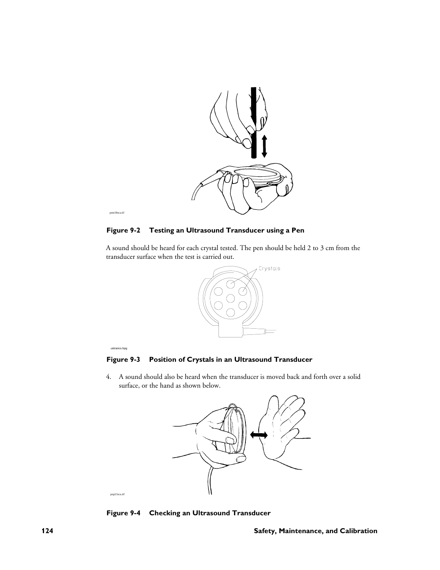

**Figure 9-2 Testing an Ultrasound Transducer using a Pen**

A sound should be heard for each crystal tested. The pen should be held 2 to 3 cm from the transducer surface when the test is carried out.



#### ustrancs.hpg

pop21sca.tif

### **Figure 9-3 Position of Crystals in an Ultrasound Transducer**

4. A sound should also be heard when the transducer is moved back and forth over a solid surface, or the hand as shown below.



**Figure 9-4 Checking an Ultrasound Transducer**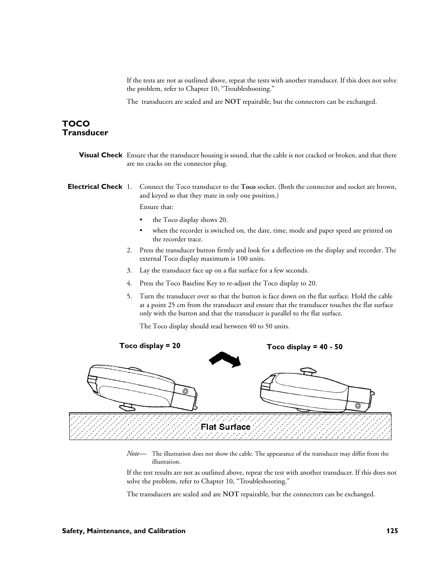If the tests are not as outlined above, repeat the tests with another transducer. If this does not solve the problem, refer to Chapter 10, "Troubleshooting."

The transducers are sealed and are **NOT** repairable, but the connectors can be exchanged.

# **TOCO Transducer**

**Visual Check** Ensure that the transducer housing is sound, that the cable is not cracked or broken, and that there are no cracks on the connector plug.

**Electrical Check** 1. Connect the Toco transducer to the **Toco** socket. (Both the connector and socket are brown, and keyed so that they mate in only one position.)

Ensure that:

- the Toco display shows 20.
- when the recorder is switched on, the date, time, mode and paper speed are printed on the recorder trace.
- 2. Press the transducer button firmly and look for a deflection on the display and recorder. The external Toco display maximum is 100 units.
- 3. Lay the transducer face up on a flat surface for a few seconds.
- 4. Press the Toco Baseline Key to re-adjust the Toco display to 20.
- 5. Turn the transducer over so that the button is face down on the flat surface. Hold the cable at a point 25 cm from the transducer and ensure that the transducer touches the flat surface only with the button and that the transducer is parallel to the flat surface.

The Toco display should read between 40 to 50 units.



*Note—* The illustration does not show the cable. The appearance of the transducer may differ from the illustration.

If the test results are not as outlined above, repeat the test with another transducer. If this does not solve the problem, refer to Chapter 10, "Troubleshooting."

The transducers are sealed and are **NOT** repairable, but the connectors can be exchanged.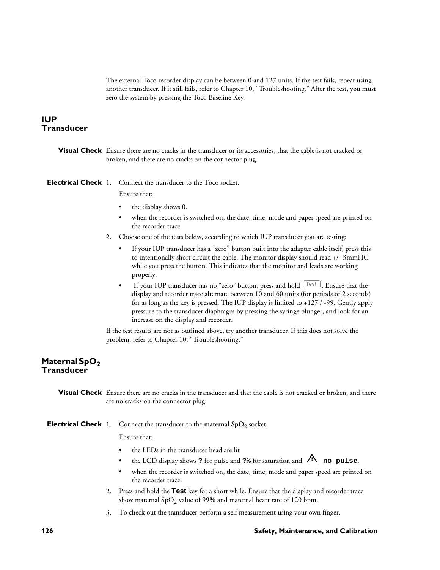The external Toco recorder display can be between 0 and 127 units. If the test fails, repeat using another transducer. If it still fails, refer to Chapter 10, "Troubleshooting." After the test, you must zero the system by pressing the Toco Baseline Key.

# **IUP Transducer**

**Visual Check** Ensure there are no cracks in the transducer or its accessories, that the cable is not cracked or broken, and there are no cracks on the connector plug.

**Electrical Check** 1. Connect the transducer to the Toco socket.

Ensure that:

- the display shows 0.
- when the recorder is switched on, the date, time, mode and paper speed are printed on the recorder trace.
- 2. Choose one of the tests below, according to which IUP transducer you are testing:
	- If your IUP transducer has a "zero" button built into the adapter cable itself, press this to intentionally short circuit the cable. The monitor display should read +/- 3mmHG while you press the button. This indicates that the monitor and leads are working properly.
	- If your IUP transducer has no "zero" button, press and hold  $\sqrt{\frac{1\text{est}}{1}}$ . Ensure that the display and recorder trace alternate between 10 and 60 units (for periods of 2 seconds) for as long as the key is pressed. The IUP display is limited to +127 / -99. Gently apply pressure to the transducer diaphragm by pressing the syringe plunger, and look for an increase on the display and recorder.

If the test results are not as outlined above, try another transducer. If this does not solve the problem, refer to Chapter 10, "Troubleshooting."

# **Maternal SpO<sub>2</sub> Transducer**

 **Visual Check** Ensure there are no cracks in the transducer and that the cable is not cracked or broken, and there are no cracks on the connector plug.

**Electrical Check** 1. Connect the transducer to the maternal SpO<sub>2</sub> socket.

Ensure that:

- the LEDs in the transducer head are lit
- the LCD display shows **?** for pulse and **?**  $\frac{1}{2}$  for saturation and  $\frac{1}{2}$  **no pulse**.
- when the recorder is switched on, the date, time, mode and paper speed are printed on the recorder trace.
- 2. Press and hold the **Test** key for a short while. Ensure that the display and recorder trace show maternal  $SpO<sub>2</sub>$  value of 99% and maternal heart rate of 120 bpm.
- 3. To check out the transducer perform a self measurement using your own finger.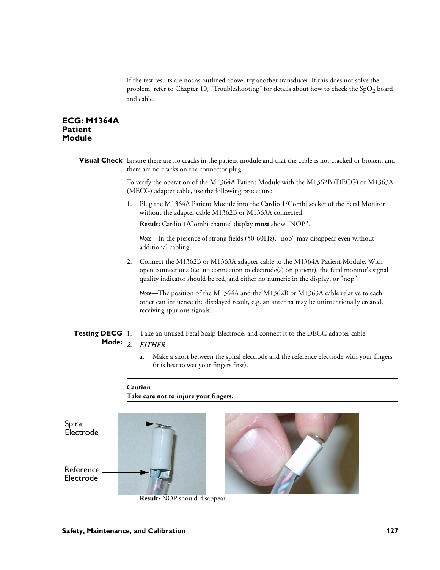If the test results are not as outlined above, try another transducer. If this does not solve the problem, refer to Chapter 10, "Troubleshooting" for details about how to check the  $SpO<sub>2</sub>$  board and cable.

# **ECG: M1364A Patient Module**

**Visual Check** Ensure there are no cracks in the patient module and that the cable is not cracked or broken, and there are no cracks on the connector plug.

> To verify the operation of the M1364A Patient Module with the M1362B (DECG) or M1363A (MECG) adapter cable, use the following procedure:

1. Plug the M1364A Patient Module into the Cardio 1/Combi socket of the Fetal Monitor without the adapter cable M1362B or M1363A connected.

**Result:** Cardio 1/Combi channel display **must** show "NOP".

*Note—*In the presence of strong fields (50-60Hz), "nop" may disappear even without additional cabling.

2. Connect the M1362B or M1363A adapter cable to the M1364A Patient Module. With open connections (i.e. no connection to electrode(s) on patient), the fetal monitor's signal quality indicator should be red, and either no numeric in the display, or "nop".

*Note—*The position of the M1364A and the M1362B or M1363A cable relative to each other can influence the displayed result, e.g. an antenna may be unintentionally created, receiving spurious signals.

#### **Testing DECG** Take an unused Fetal Scalp Electrode, and connect it to the DECG adapter cable.

#### Mode: 2 *2. EITHER*

a. Make a short between the spiral electrode and the reference electrode with your fingers (it is best to wet your fingers first).

# **Caution Take care not to injure your fingers.**



**Result:** NOP should disappear.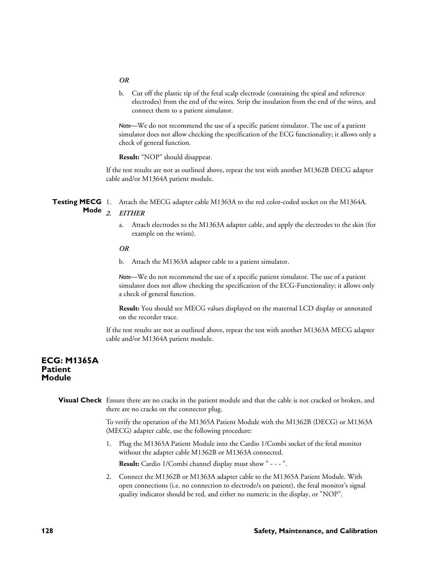#### *OR*

b. Cut off the plastic tip of the fetal scalp electrode (containing the spiral and reference electrodes) from the end of the wires. Strip the insulation from the end of the wires, and connect them to a patient simulator.

*Note—*We do not recommend the use of a specific patient simulator. The use of a patient simulator does not allow checking the specification of the ECG functionality; it allows only a check of general function.

**Result:** "NOP" should disappear.

If the test results are not as outlined above, repeat the test with another M1362B DECG adapter cable and/or M1364A patient module.

**Testing MECG** 1. Attach the MECG adapter cable M1363A to the red color-coded socket on the M1364A.

# **Mode** *2. EITHER*

a. Attach electrodes to the M1363A adapter cable, and apply the electrodes to the skin (for example on the wrists).

#### *OR*

b. Attach the M1363A adapter cable to a patient simulator.

*Note—*We do not recommend the use of a specific patient simulator. The use of a patient simulator does not allow checking the specification of the ECG-Functionality; it allows only a check of general function.

**Result:** You should see MECG values displayed on the maternal LCD display or annotated on the recorder trace.

If the test results are not as outlined above, repeat the test with another M1363A MECG adapter cable and/or M1364A patient module.

# **ECG: M1365A Patient Module**

**Visual Check** Ensure there are no cracks in the patient module and that the cable is not cracked or broken, and there are no cracks on the connector plug.

> To verify the operation of the M1365A Patient Module with the M1362B (DECG) or M1363A (MECG) adapter cable, use the following procedure:

1. Plug the M1365A Patient Module into the Cardio 1/Combi socket of the fetal monitor without the adapter cable M1362B or M1363A connected.

**Result:** Cardio 1/Combi channel display must show " - - - ".

2. Connect the M1362B or M1363A adapter cable to the M1365A Patient Module. With open connections (i.e. no connection to electrode/s on patient), the fetal monitor's signal quality indicator should be red, and either no numeric in the display, or "NOP".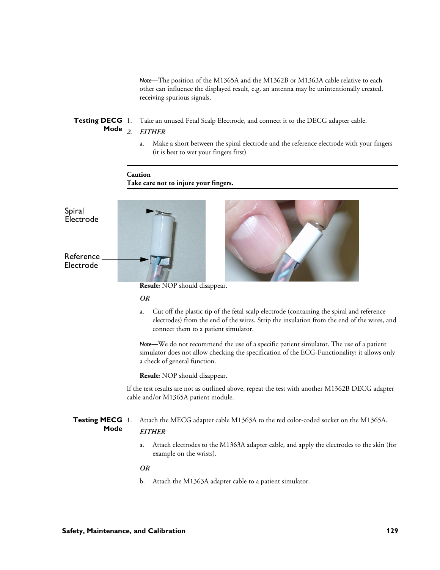*Note—*The position of the M1365A and the M1362B or M1363A cable relative to each other can influence the displayed result, e.g. an antenna may be unintentionally created, receiving spurious signals.

#### **Testing DECG** Take an unused Fetal Scalp Electrode, and connect it to the DECG adapter cable.

#### Mode<sub>2.</sub> *2. EITHER*

a. Make a short between the spiral electrode and the reference electrode with your fingers (it is best to wet your fingers first)

# **Caution Take care not to injure your fingers.**



**Result:** NOP should disappear.

#### *OR*

a. Cut off the plastic tip of the fetal scalp electrode (containing the spiral and reference electrodes) from the end of the wires. Strip the insulation from the end of the wires, and connect them to a patient simulator.

*Note—*We do not recommend the use of a specific patient simulator. The use of a patient simulator does not allow checking the specification of the ECG-Functionality; it allows only a check of general function.

**Result:** NOP should disappear.

If the test results are not as outlined above, repeat the test with another M1362B DECG adapter cable and/or M1365A patient module.

#### **Testing MECG** 1. Attach the MECG adapter cable M1363A to the red color-coded socket on the M1365A. **Mode** *EITHER*

a. Attach electrodes to the M1363A adapter cable, and apply the electrodes to the skin (for example on the wrists).

*OR*

b. Attach the M1363A adapter cable to a patient simulator.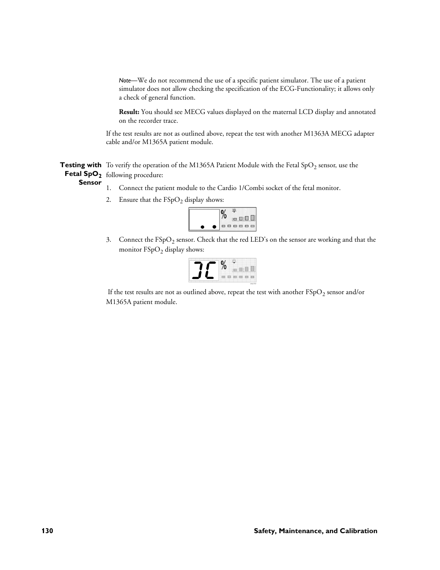*Note—*We do not recommend the use of a specific patient simulator. The use of a patient simulator does not allow checking the specification of the ECG-Functionality; it allows only a check of general function.

**Result:** You should see MECG values displayed on the maternal LCD display and annotated on the recorder trace.

If the test results are not as outlined above, repeat the test with another M1363A MECG adapter cable and/or M1365A patient module.

**Testing with** To verify the operation of the M1365A Patient Module with the Fetal SpO<sub>2</sub> sensor, use the **Fetal SpO<sub>2</sub>** following procedure: **Sensor**

- 1. Connect the patient module to the Cardio 1/Combi socket of the fetal monitor.
- 



3. Connect the  $FSpO<sub>2</sub>$  sensor. Check that the red LED's on the sensor are working and that the monitor  $FSpO<sub>2</sub>$  display shows:

If the test results are not as outlined above, repeat the test with another  $\text{FSpO}_2$  sensor and/or M1365A patient module.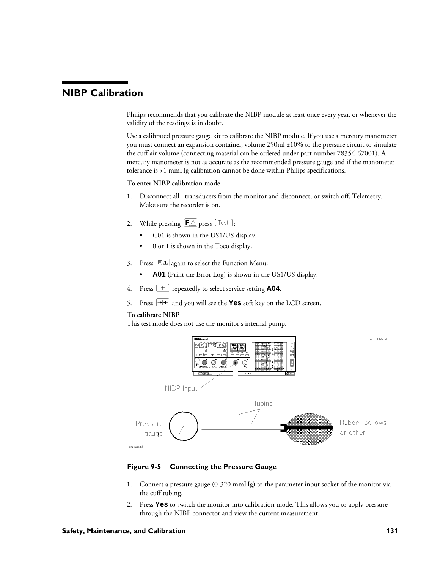# **NIBP Calibration**

Philips recommends that you calibrate the NIBP module at least once every year, or whenever the validity of the readings is in doubt.

Use a calibrated pressure gauge kit to calibrate the NIBP module. If you use a mercury manometer you must connect an expansion container, volume 250ml ±10% to the pressure circuit to simulate the cuff air volume (connecting material can be ordered under part number 78354-67001). A mercury manometer is not as accurate as the recommended pressure gauge and if the manometer tolerance is >1 mmHg calibration cannot be done within Philips specifications.

#### **To enter NIBP calibration mode**

- 1. Disconnect all transducers from the monitor and disconnect, or switch off, Telemetry. Make sure the recorder is on.
- 2. While pressing  $\left[\overline{\mathsf{F}\mathbb{A}}\right]$  press  $\left[\overline{\mathsf{Test}}\right]$ :
	- C01 is shown in the US1/US display.
	- 0 or 1 is shown in the Toco display.
- 3. Press  $\boxed{\mathsf{F} \triangle}$  again to select the Function Menu:
	- **A01** (Print the Error Log) is shown in the US1/US display.
- 4. Press  $\boxed{\text{+}}$  repeatedly to select service setting **A04**.
- 5. Press  $\rightarrow$  **+** $\rightarrow$  and you will see the **Yes** soft key on the LCD screen.

#### **To calibrate NIBP**

This test mode does not use the monitor's internal pump.



**Figure 9-5 Connecting the Pressure Gauge**

- 1. Connect a pressure gauge (0-320 mmHg) to the parameter input socket of the monitor via the cuff tubing.
- 2. Press **Yes** to switch the monitor into calibration mode. This allows you to apply pressure through the NIBP connector and view the current measurement.